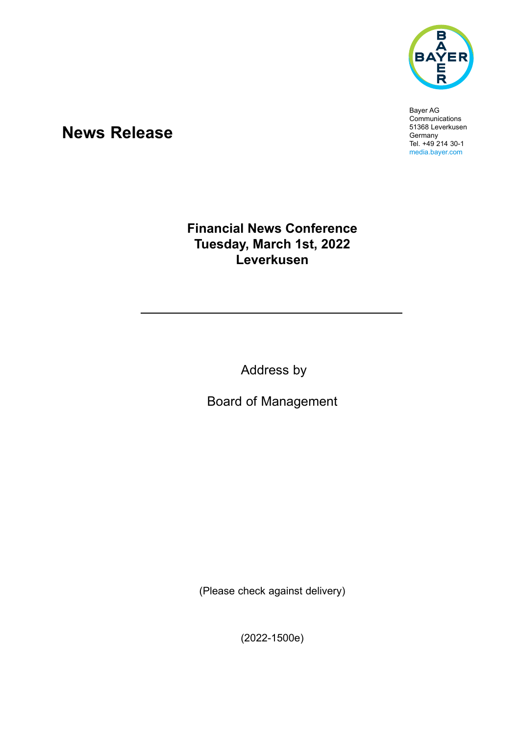

Bayer AG **Communications** 51368 Leverkusen Germany Tel. +49 214 30-1 media.bayer.com

# **News Release**

## **Financial News Conference Tuesday, March 1st, 2022 Leverkusen**

Address by

Board of Management

(Please check against delivery)

(2022-1500e)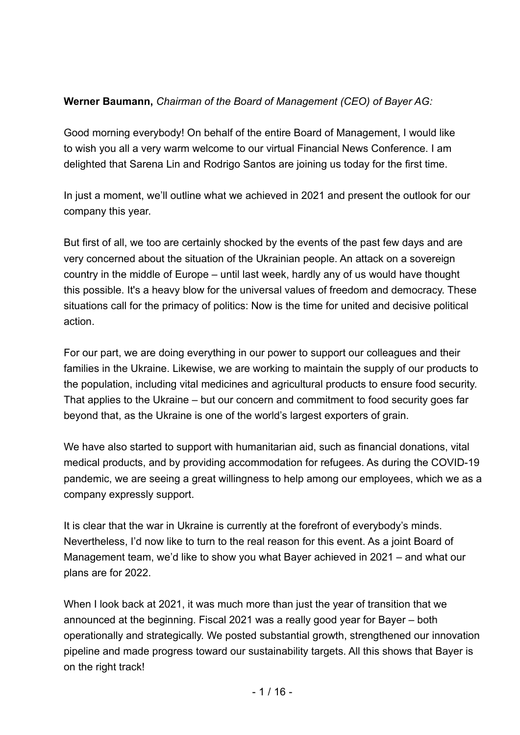### **Werner Baumann,** *Chairman of the Board of Management (CEO) of Bayer AG:*

Good morning everybody! On behalf of the entire Board of Management, I would like to wish you all a very warm welcome to our virtual Financial News Conference. I am delighted that Sarena Lin and Rodrigo Santos are joining us today for the first time.

In just a moment, we'll outline what we achieved in 2021 and present the outlook for our company this year.

But first of all, we too are certainly shocked by the events of the past few days and are very concerned about the situation of the Ukrainian people. An attack on a sovereign country in the middle of Europe – until last week, hardly any of us would have thought this possible. It's a heavy blow for the universal values of freedom and democracy. These situations call for the primacy of politics: Now is the time for united and decisive political action.

For our part, we are doing everything in our power to support our colleagues and their families in the Ukraine. Likewise, we are working to maintain the supply of our products to the population, including vital medicines and agricultural products to ensure food security. That applies to the Ukraine – but our concern and commitment to food security goes far beyond that, as the Ukraine is one of the world's largest exporters of grain.

We have also started to support with humanitarian aid, such as financial donations, vital medical products, and by providing accommodation for refugees. As during the COVID-19 pandemic, we are seeing a great willingness to help among our employees, which we as a company expressly support.

It is clear that the war in Ukraine is currently at the forefront of everybody's minds. Nevertheless, I'd now like to turn to the real reason for this event. As a joint Board of Management team, we'd like to show you what Bayer achieved in 2021 – and what our plans are for 2022.

When I look back at 2021, it was much more than just the year of transition that we announced at the beginning. Fiscal 2021 was a really good year for Bayer – both operationally and strategically. We posted substantial growth, strengthened our innovation pipeline and made progress toward our sustainability targets. All this shows that Bayer is on the right track!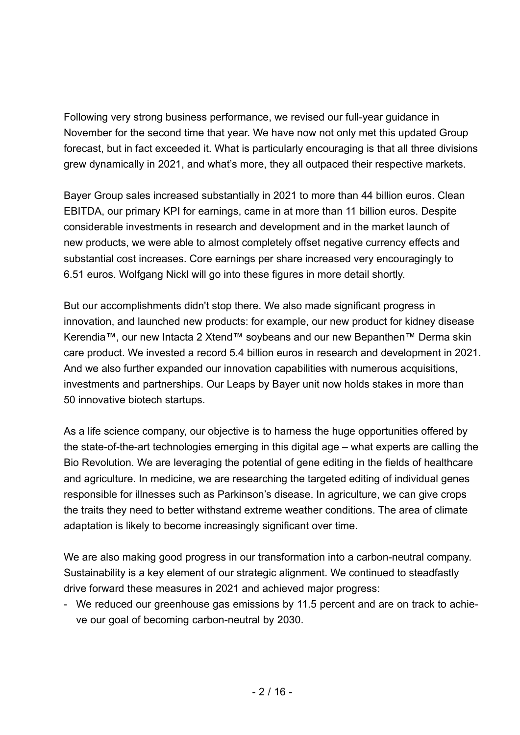Following very strong business performance, we revised our full-year guidance in November for the second time that year. We have now not only met this updated Group forecast, but in fact exceeded it. What is particularly encouraging is that all three divisions grew dynamically in 2021, and what's more, they all outpaced their respective markets.

Bayer Group sales increased substantially in 2021 to more than 44 billion euros. Clean EBITDA, our primary KPI for earnings, came in at more than 11 billion euros. Despite considerable investments in research and development and in the market launch of new products, we were able to almost completely offset negative currency effects and substantial cost increases. Core earnings per share increased very encouragingly to 6.51 euros. Wolfgang Nickl will go into these figures in more detail shortly.

But our accomplishments didn't stop there. We also made significant progress in innovation, and launched new products: for example, our new product for kidney disease Kerendia™, our new Intacta 2 Xtend™ soybeans and our new Bepanthen™ Derma skin care product. We invested a record 5.4 billion euros in research and development in 2021. And we also further expanded our innovation capabilities with numerous acquisitions, investments and partnerships. Our Leaps by Bayer unit now holds stakes in more than 50 innovative biotech startups.

As a life science company, our objective is to harness the huge opportunities offered by the state-of-the-art technologies emerging in this digital age – what experts are calling the Bio Revolution. We are leveraging the potential of gene editing in the fields of healthcare and agriculture. In medicine, we are researching the targeted editing of individual genes responsible for illnesses such as Parkinson's disease. In agriculture, we can give crops the traits they need to better withstand extreme weather conditions. The area of climate adaptation is likely to become increasingly significant over time.

We are also making good progress in our transformation into a carbon-neutral company. Sustainability is a key element of our strategic alignment. We continued to steadfastly drive forward these measures in 2021 and achieved major progress:

- We reduced our greenhouse gas emissions by 11.5 percent and are on track to achieve our goal of becoming carbon-neutral by 2030.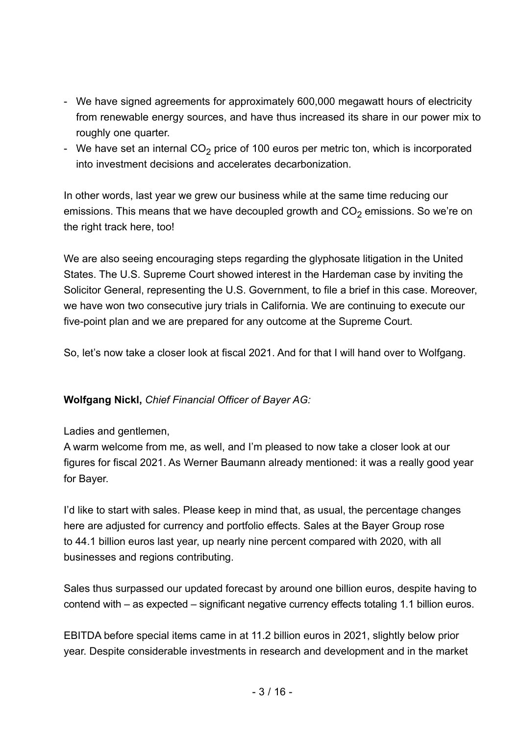- We have signed agreements for approximately 600,000 megawatt hours of electricity from renewable energy sources, and have thus increased its share in our power mix to roughly one quarter.
- We have set an internal  $CO<sub>2</sub>$  price of 100 euros per metric ton, which is incorporated into investment decisions and accelerates decarbonization.

In other words, last year we grew our business while at the same time reducing our emissions. This means that we have decoupled growth and  $\mathrm{CO}_2$  emissions. So we're on the right track here, too!

We are also seeing encouraging steps regarding the glyphosate litigation in the United States. The U.S. Supreme Court showed interest in the Hardeman case by inviting the Solicitor General, representing the U.S. Government, to file a brief in this case. Moreover, we have won two consecutive jury trials in California. We are continuing to execute our five-point plan and we are prepared for any outcome at the Supreme Court.

So, let's now take a closer look at fiscal 2021. And for that I will hand over to Wolfgang.

### **Wolfgang Nickl,** *Chief Financial Officer of Bayer AG:*

### Ladies and gentlemen,

A warm welcome from me, as well, and I'm pleased to now take a closer look at our figures for fiscal 2021. As Werner Baumann already mentioned: it was a really good year for Bayer.

I'd like to start with sales. Please keep in mind that, as usual, the percentage changes here are adjusted for currency and portfolio effects. Sales at the Bayer Group rose to 44.1 billion euros last year, up nearly nine percent compared with 2020, with all businesses and regions contributing.

Sales thus surpassed our updated forecast by around one billion euros, despite having to contend with – as expected – significant negative currency effects totaling 1.1 billion euros.

EBITDA before special items came in at 11.2 billion euros in 2021, slightly below prior year. Despite considerable investments in research and development and in the market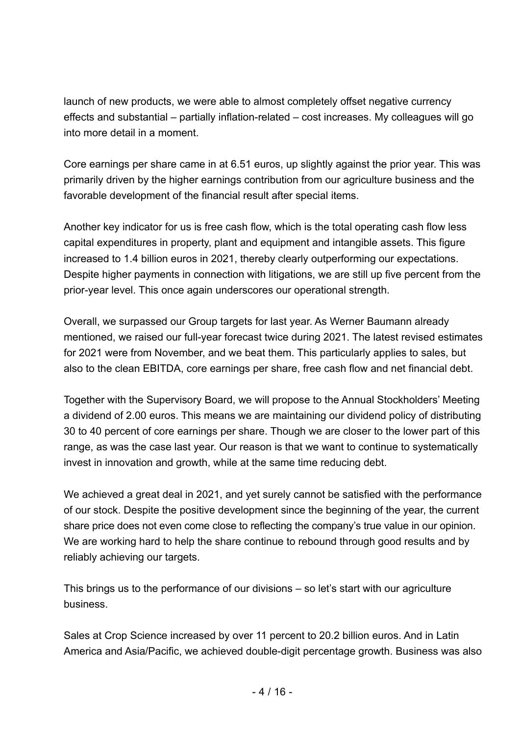launch of new products, we were able to almost completely offset negative currency effects and substantial – partially inflation-related – cost increases. My colleagues will go into more detail in a moment.

Core earnings per share came in at 6.51 euros, up slightly against the prior year. This was primarily driven by the higher earnings contribution from our agriculture business and the favorable development of the financial result after special items.

Another key indicator for us is free cash flow, which is the total operating cash flow less capital expenditures in property, plant and equipment and intangible assets. This figure increased to 1.4 billion euros in 2021, thereby clearly outperforming our expectations. Despite higher payments in connection with litigations, we are still up five percent from the prior-year level. This once again underscores our operational strength.

Overall, we surpassed our Group targets for last year. As Werner Baumann already mentioned, we raised our full-year forecast twice during 2021. The latest revised estimates for 2021 were from November, and we beat them. This particularly applies to sales, but also to the clean EBITDA, core earnings per share, free cash flow and net financial debt.

Together with the Supervisory Board, we will propose to the Annual Stockholders' Meeting a dividend of 2.00 euros. This means we are maintaining our dividend policy of distributing 30 to 40 percent of core earnings per share. Though we are closer to the lower part of this range, as was the case last year. Our reason is that we want to continue to systematically invest in innovation and growth, while at the same time reducing debt.

We achieved a great deal in 2021, and yet surely cannot be satisfied with the performance of our stock. Despite the positive development since the beginning of the year, the current share price does not even come close to reflecting the company's true value in our opinion. We are working hard to help the share continue to rebound through good results and by reliably achieving our targets.

This brings us to the performance of our divisions – so let's start with our agriculture business.

Sales at Crop Science increased by over 11 percent to 20.2 billion euros. And in Latin America and Asia/Pacific, we achieved double-digit percentage growth. Business was also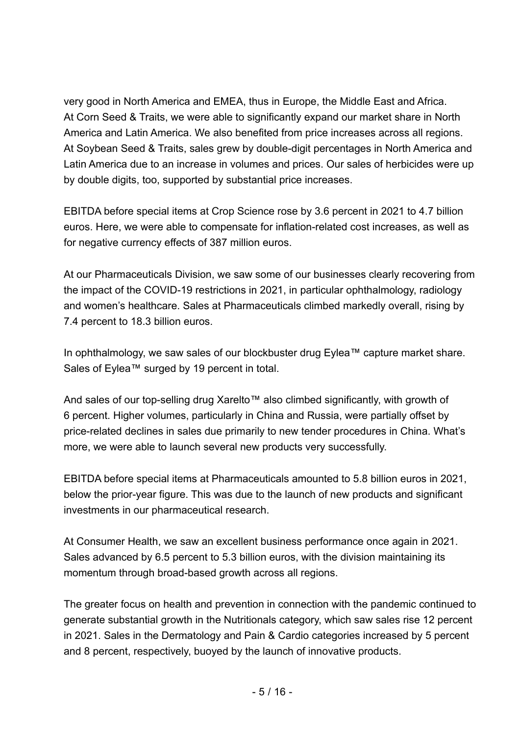very good in North America and EMEA, thus in Europe, the Middle East and Africa. At Corn Seed & Traits, we were able to significantly expand our market share in North America and Latin America. We also benefited from price increases across all regions. At Soybean Seed & Traits, sales grew by double-digit percentages in North America and Latin America due to an increase in volumes and prices. Our sales of herbicides were up by double digits, too, supported by substantial price increases.

EBITDA before special items at Crop Science rose by 3.6 percent in 2021 to 4.7 billion euros. Here, we were able to compensate for inflation-related cost increases, as well as for negative currency effects of 387 million euros.

At our Pharmaceuticals Division, we saw some of our businesses clearly recovering from the impact of the COVID-19 restrictions in 2021, in particular ophthalmology, radiology and women's healthcare. Sales at Pharmaceuticals climbed markedly overall, rising by 7.4 percent to 18.3 billion euros.

In ophthalmology, we saw sales of our blockbuster drug Eylea™ capture market share. Sales of Eylea™ surged by 19 percent in total.

And sales of our top-selling drug Xarelto™ also climbed significantly, with growth of 6 percent. Higher volumes, particularly in China and Russia, were partially offset by price-related declines in sales due primarily to new tender procedures in China. What's more, we were able to launch several new products very successfully.

EBITDA before special items at Pharmaceuticals amounted to 5.8 billion euros in 2021, below the prior-year figure. This was due to the launch of new products and significant investments in our pharmaceutical research.

At Consumer Health, we saw an excellent business performance once again in 2021. Sales advanced by 6.5 percent to 5.3 billion euros, with the division maintaining its momentum through broad-based growth across all regions.

The greater focus on health and prevention in connection with the pandemic continued to generate substantial growth in the Nutritionals category, which saw sales rise 12 percent in 2021. Sales in the Dermatology and Pain & Cardio categories increased by 5 percent and 8 percent, respectively, buoyed by the launch of innovative products.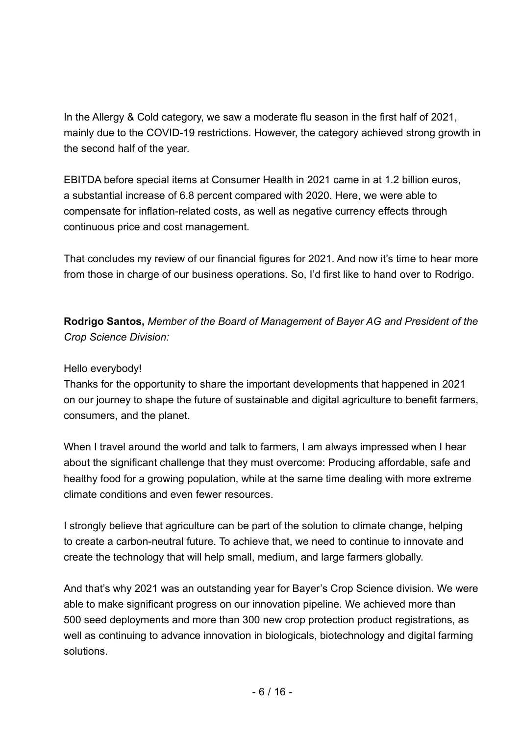In the Allergy & Cold category, we saw a moderate flu season in the first half of 2021, mainly due to the COVID-19 restrictions. However, the category achieved strong growth in the second half of the year.

EBITDA before special items at Consumer Health in 2021 came in at 1.2 billion euros, a substantial increase of 6.8 percent compared with 2020. Here, we were able to compensate for inflation-related costs, as well as negative currency effects through continuous price and cost management.

That concludes my review of our financial figures for 2021. And now it's time to hear more from those in charge of our business operations. So, I'd first like to hand over to Rodrigo.

**Rodrigo Santos,** *Member of the Board of Management of Bayer AG and President of the Crop Science Division:*

### Hello everybody!

Thanks for the opportunity to share the important developments that happened in 2021 on our journey to shape the future of sustainable and digital agriculture to benefit farmers, consumers, and the planet.

When I travel around the world and talk to farmers, I am always impressed when I hear about the significant challenge that they must overcome: Producing affordable, safe and healthy food for a growing population, while at the same time dealing with more extreme climate conditions and even fewer resources.

I strongly believe that agriculture can be part of the solution to climate change, helping to create a carbon-neutral future. To achieve that, we need to continue to innovate and create the technology that will help small, medium, and large farmers globally.

And that's why 2021 was an outstanding year for Bayer's Crop Science division. We were able to make significant progress on our innovation pipeline. We achieved more than 500 seed deployments and more than 300 new crop protection product registrations, as well as continuing to advance innovation in biologicals, biotechnology and digital farming solutions.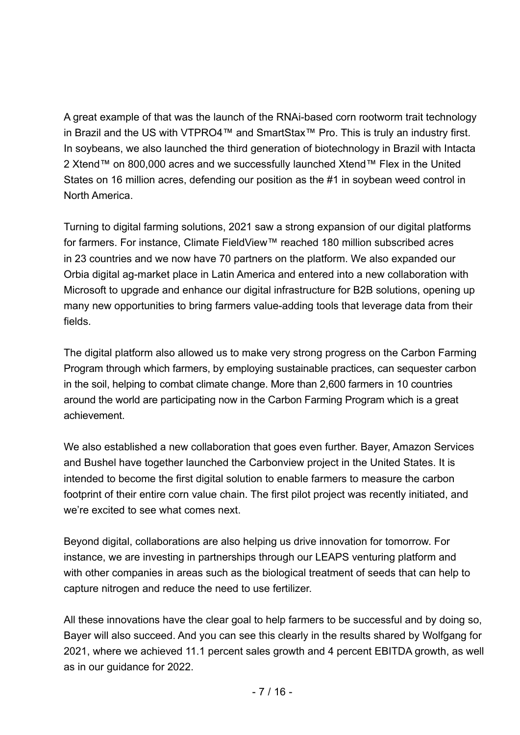A great example of that was the launch of the RNAi-based corn rootworm trait technology in Brazil and the US with VTPRO4™ and SmartStax™ Pro. This is truly an industry first. In soybeans, we also launched the third generation of biotechnology in Brazil with Intacta 2 Xtend™ on 800,000 acres and we successfully launched Xtend™ Flex in the United States on 16 million acres, defending our position as the #1 in soybean weed control in North America.

Turning to digital farming solutions, 2021 saw a strong expansion of our digital platforms for farmers. For instance, Climate FieldView™ reached 180 million subscribed acres in 23 countries and we now have 70 partners on the platform. We also expanded our Orbia digital ag-market place in Latin America and entered into a new collaboration with Microsoft to upgrade and enhance our digital infrastructure for B2B solutions, opening up many new opportunities to bring farmers value-adding tools that leverage data from their fields.

The digital platform also allowed us to make very strong progress on the Carbon Farming Program through which farmers, by employing sustainable practices, can sequester carbon in the soil, helping to combat climate change. More than 2,600 farmers in 10 countries around the world are participating now in the Carbon Farming Program which is a great achievement.

We also established a new collaboration that goes even further. Bayer, Amazon Services and Bushel have together launched the Carbonview project in the United States. It is intended to become the first digital solution to enable farmers to measure the carbon footprint of their entire corn value chain. The first pilot project was recently initiated, and we're excited to see what comes next.

Beyond digital, collaborations are also helping us drive innovation for tomorrow. For instance, we are investing in partnerships through our LEAPS venturing platform and with other companies in areas such as the biological treatment of seeds that can help to capture nitrogen and reduce the need to use fertilizer.

All these innovations have the clear goal to help farmers to be successful and by doing so, Bayer will also succeed. And you can see this clearly in the results shared by Wolfgang for 2021, where we achieved 11.1 percent sales growth and 4 percent EBITDA growth, as well as in our guidance for 2022.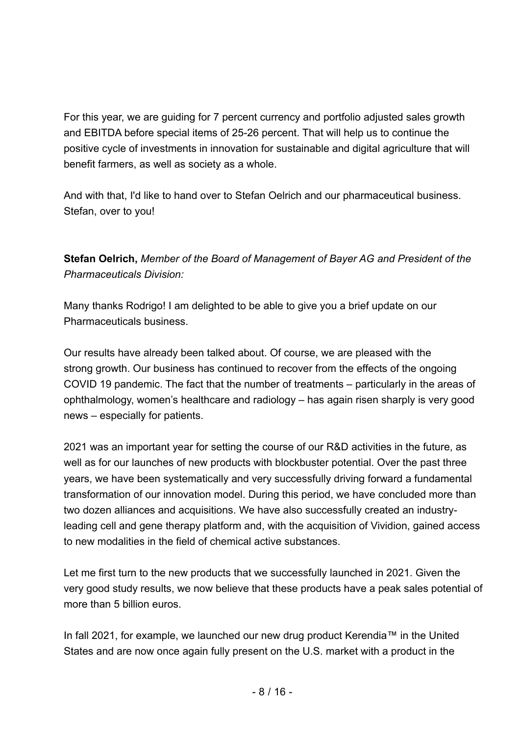For this year, we are guiding for 7 percent currency and portfolio adjusted sales growth and EBITDA before special items of 25-26 percent. That will help us to continue the positive cycle of investments in innovation for sustainable and digital agriculture that will benefit farmers, as well as society as a whole.

And with that, I'd like to hand over to Stefan Oelrich and our pharmaceutical business. Stefan, over to you!

**Stefan Oelrich,** *Member of the Board of Management of Bayer AG and President of the Pharmaceuticals Division:*

Many thanks Rodrigo! I am delighted to be able to give you a brief update on our Pharmaceuticals business.

Our results have already been talked about. Of course, we are pleased with the strong growth. Our business has continued to recover from the effects of the ongoing COVID 19 pandemic. The fact that the number of treatments – particularly in the areas of ophthalmology, women's healthcare and radiology – has again risen sharply is very good news – especially for patients.

2021 was an important year for setting the course of our R&D activities in the future, as well as for our launches of new products with blockbuster potential. Over the past three years, we have been systematically and very successfully driving forward a fundamental transformation of our innovation model. During this period, we have concluded more than two dozen alliances and acquisitions. We have also successfully created an industryleading cell and gene therapy platform and, with the acquisition of Vividion, gained access to new modalities in the field of chemical active substances.

Let me first turn to the new products that we successfully launched in 2021. Given the very good study results, we now believe that these products have a peak sales potential of more than 5 billion euros.

In fall 2021, for example, we launched our new drug product Kerendia™ in the United States and are now once again fully present on the U.S. market with a product in the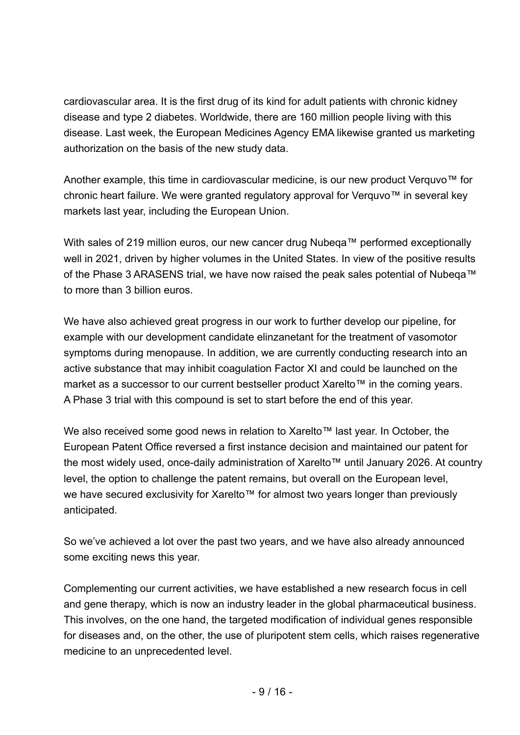cardiovascular area. It is the first drug of its kind for adult patients with chronic kidney disease and type 2 diabetes. Worldwide, there are 160 million people living with this disease. Last week, the European Medicines Agency EMA likewise granted us marketing authorization on the basis of the new study data.

Another example, this time in cardiovascular medicine, is our new product Verquvo™ for chronic heart failure. We were granted regulatory approval for Verquvo™ in several key markets last year, including the European Union.

With sales of 219 million euros, our new cancer drug Nubeqa™ performed exceptionally well in 2021, driven by higher volumes in the United States. In view of the positive results of the Phase 3 ARASENS trial, we have now raised the peak sales potential of Nubeqa™ to more than 3 billion euros.

We have also achieved great progress in our work to further develop our pipeline, for example with our development candidate elinzanetant for the treatment of vasomotor symptoms during menopause. In addition, we are currently conducting research into an active substance that may inhibit coagulation Factor XI and could be launched on the market as a successor to our current bestseller product Xarelto™ in the coming years. A Phase 3 trial with this compound is set to start before the end of this year.

We also received some good news in relation to Xarelto™ last year. In October, the European Patent Office reversed a first instance decision and maintained our patent for the most widely used, once-daily administration of Xarelto™ until January 2026. At country level, the option to challenge the patent remains, but overall on the European level, we have secured exclusivity for Xarelto™ for almost two years longer than previously anticipated.

So we've achieved a lot over the past two years, and we have also already announced some exciting news this year.

Complementing our current activities, we have established a new research focus in cell and gene therapy, which is now an industry leader in the global pharmaceutical business. This involves, on the one hand, the targeted modification of individual genes responsible for diseases and, on the other, the use of pluripotent stem cells, which raises regenerative medicine to an unprecedented level.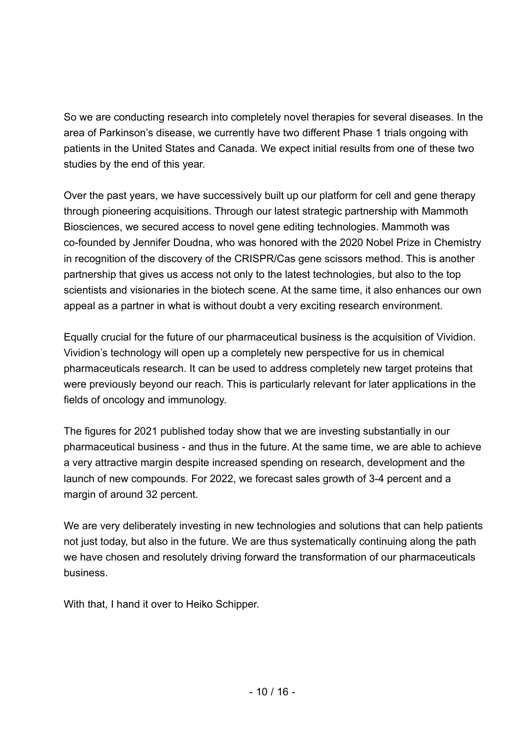So we are conducting research into completely novel therapies for several diseases. In the area of Parkinson's disease, we currently have two different Phase 1 trials ongoing with patients in the United States and Canada. We expect initial results from one of these two studies by the end of this year.

Over the past years, we have successively built up our platform for cell and gene therapy through pioneering acquisitions. Through our latest strategic partnership with Mammoth Biosciences, we secured access to novel gene editing technologies. Mammoth was co-founded by Jennifer Doudna, who was honored with the 2020 Nobel Prize in Chemistry in recognition of the discovery of the CRISPR/Cas gene scissors method. This is another partnership that gives us access not only to the latest technologies, but also to the top scientists and visionaries in the biotech scene. At the same time, it also enhances our own appeal as a partner in what is without doubt a very exciting research environment.

Equally crucial for the future of our pharmaceutical business is the acquisition of Vividion. Vividion's technology will open up a completely new perspective for us in chemical pharmaceuticals research. It can be used to address completely new target proteins that were previously beyond our reach. This is particularly relevant for later applications in the fields of oncology and immunology.

The figures for 2021 published today show that we are investing substantially in our pharmaceutical business - and thus in the future. At the same time, we are able to achieve a very attractive margin despite increased spending on research, development and the launch of new compounds. For 2022, we forecast sales growth of 3-4 percent and a margin of around 32 percent.

We are very deliberately investing in new technologies and solutions that can help patients not just today, but also in the future. We are thus systematically continuing along the path we have chosen and resolutely driving forward the transformation of our pharmaceuticals business.

With that, I hand it over to Heiko Schipper.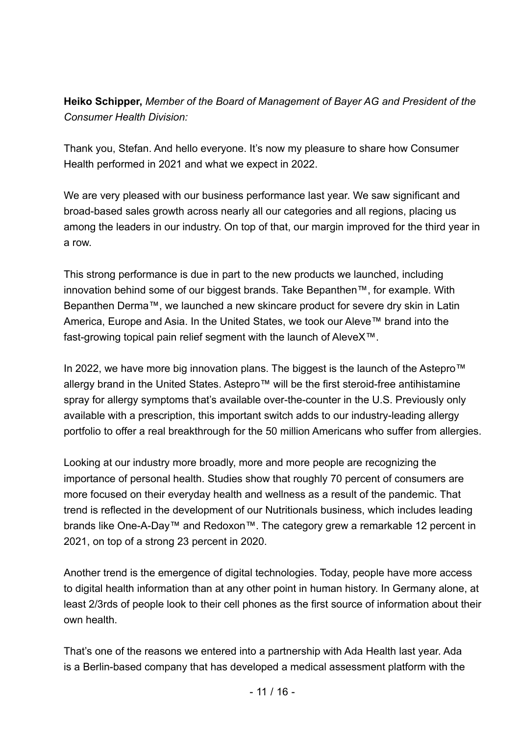### **Heiko Schipper,** *Member of the Board of Management of Bayer AG and President of the Consumer Health Division:*

Thank you, Stefan. And hello everyone. It's now my pleasure to share how Consumer Health performed in 2021 and what we expect in 2022.

We are very pleased with our business performance last year. We saw significant and broad-based sales growth across nearly all our categories and all regions, placing us among the leaders in our industry. On top of that, our margin improved for the third year in a row.

This strong performance is due in part to the new products we launched, including innovation behind some of our biggest brands. Take Bepanthen™, for example. With Bepanthen Derma™, we launched a new skincare product for severe dry skin in Latin America, Europe and Asia. In the United States, we took our Aleve™ brand into the fast-growing topical pain relief segment with the launch of AleveX™.

In 2022, we have more big innovation plans. The biggest is the launch of the Astepro™ allergy brand in the United States. Astepro™ will be the first steroid-free antihistamine spray for allergy symptoms that's available over-the-counter in the U.S. Previously only available with a prescription, this important switch adds to our industry-leading allergy portfolio to offer a real breakthrough for the 50 million Americans who suffer from allergies.

Looking at our industry more broadly, more and more people are recognizing the importance of personal health. Studies show that roughly 70 percent of consumers are more focused on their everyday health and wellness as a result of the pandemic. That trend is reflected in the development of our Nutritionals business, which includes leading brands like One-A-Day™ and Redoxon™. The category grew a remarkable 12 percent in 2021, on top of a strong 23 percent in 2020.

Another trend is the emergence of digital technologies. Today, people have more access to digital health information than at any other point in human history. In Germany alone, at least 2/3rds of people look to their cell phones as the first source of information about their own health.

That's one of the reasons we entered into a partnership with Ada Health last year. Ada is a Berlin-based company that has developed a medical assessment platform with the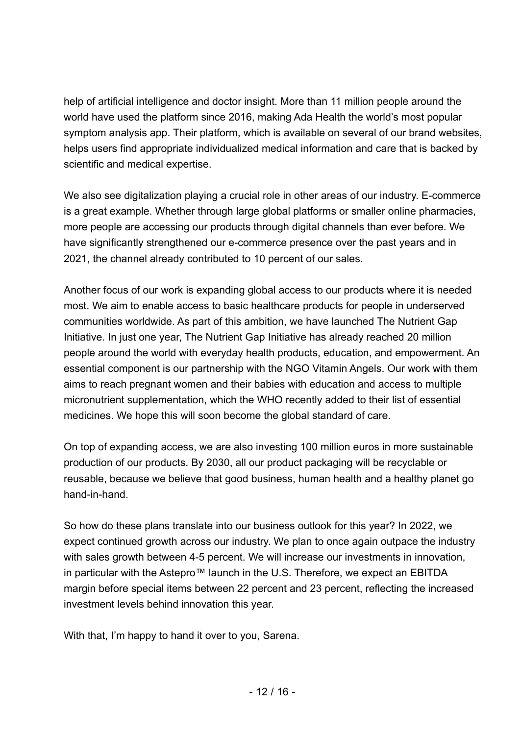help of artificial intelligence and doctor insight. More than 11 million people around the world have used the platform since 2016, making Ada Health the world's most popular symptom analysis app. Their platform, which is available on several of our brand websites, helps users find appropriate individualized medical information and care that is backed by scientific and medical expertise.

We also see digitalization playing a crucial role in other areas of our industry. E-commerce is a great example. Whether through large global platforms or smaller online pharmacies, more people are accessing our products through digital channels than ever before. We have significantly strengthened our e-commerce presence over the past years and in 2021, the channel already contributed to 10 percent of our sales.

Another focus of our work is expanding global access to our products where it is needed most. We aim to enable access to basic healthcare products for people in underserved communities worldwide. As part of this ambition, we have launched The Nutrient Gap Initiative. In just one year, The Nutrient Gap Initiative has already reached 20 million people around the world with everyday health products, education, and empowerment. An essential component is our partnership with the NGO Vitamin Angels. Our work with them aims to reach pregnant women and their babies with education and access to multiple micronutrient supplementation, which the WHO recently added to their list of essential medicines. We hope this will soon become the global standard of care.

On top of expanding access, we are also investing 100 million euros in more sustainable production of our products. By 2030, all our product packaging will be recyclable or reusable, because we believe that good business, human health and a healthy planet go hand-in-hand.

So how do these plans translate into our business outlook for this year? In 2022, we expect continued growth across our industry. We plan to once again outpace the industry with sales growth between 4-5 percent. We will increase our investments in innovation, in particular with the Astepro™ launch in the U.S. Therefore, we expect an EBITDA margin before special items between 22 percent and 23 percent, reflecting the increased investment levels behind innovation this year.

With that, I'm happy to hand it over to you, Sarena.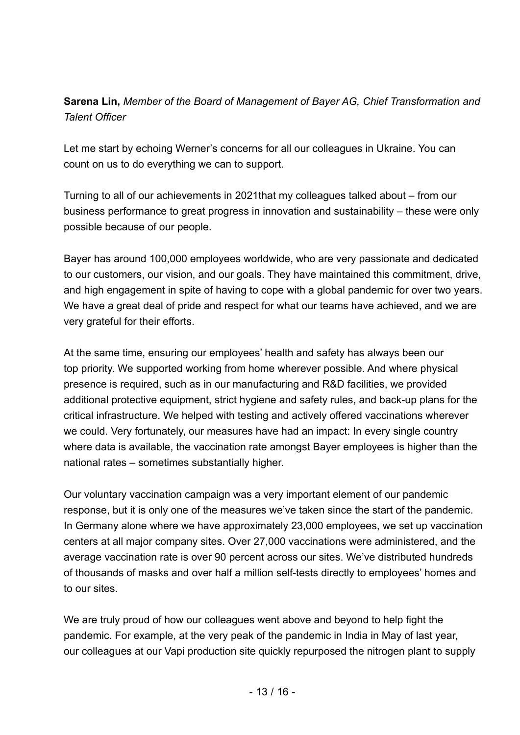### **Sarena Lin,** *Member of the Board of Management of Bayer AG, Chief Transformation and Talent Officer*

Let me start by echoing Werner's concerns for all our colleagues in Ukraine. You can count on us to do everything we can to support.

Turning to all of our achievements in 2021that my colleagues talked about – from our business performance to great progress in innovation and sustainability – these were only possible because of our people.

Bayer has around 100,000 employees worldwide, who are very passionate and dedicated to our customers, our vision, and our goals. They have maintained this commitment, drive, and high engagement in spite of having to cope with a global pandemic for over two years. We have a great deal of pride and respect for what our teams have achieved, and we are very grateful for their efforts.

At the same time, ensuring our employees' health and safety has always been our top priority. We supported working from home wherever possible. And where physical presence is required, such as in our manufacturing and R&D facilities, we provided additional protective equipment, strict hygiene and safety rules, and back-up plans for the critical infrastructure. We helped with testing and actively offered vaccinations wherever we could. Very fortunately, our measures have had an impact: In every single country where data is available, the vaccination rate amongst Bayer employees is higher than the national rates – sometimes substantially higher.

Our voluntary vaccination campaign was a very important element of our pandemic response, but it is only one of the measures we've taken since the start of the pandemic. In Germany alone where we have approximately 23,000 employees, we set up vaccination centers at all major company sites. Over 27,000 vaccinations were administered, and the average vaccination rate is over 90 percent across our sites. We've distributed hundreds of thousands of masks and over half a million self-tests directly to employees' homes and to our sites.

We are truly proud of how our colleagues went above and beyond to help fight the pandemic. For example, at the very peak of the pandemic in India in May of last year, our colleagues at our Vapi production site quickly repurposed the nitrogen plant to supply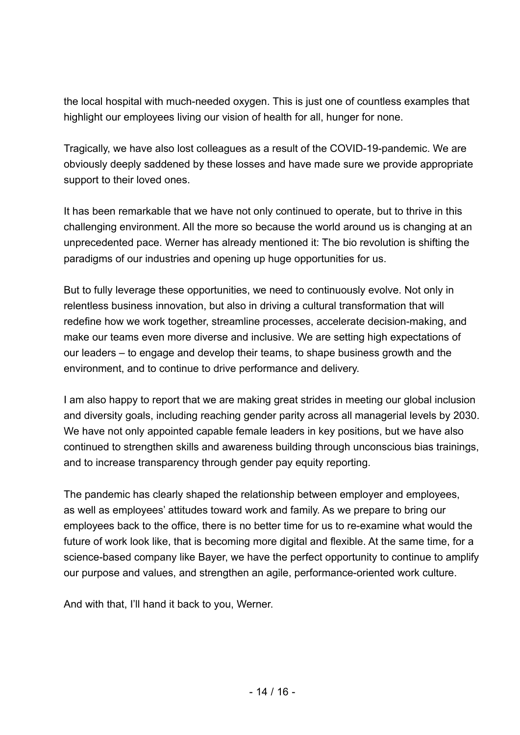the local hospital with much-needed oxygen. This is just one of countless examples that highlight our employees living our vision of health for all, hunger for none.

Tragically, we have also lost colleagues as a result of the COVID-19-pandemic. We are obviously deeply saddened by these losses and have made sure we provide appropriate support to their loved ones.

It has been remarkable that we have not only continued to operate, but to thrive in this challenging environment. All the more so because the world around us is changing at an unprecedented pace. Werner has already mentioned it: The bio revolution is shifting the paradigms of our industries and opening up huge opportunities for us.

But to fully leverage these opportunities, we need to continuously evolve. Not only in relentless business innovation, but also in driving a cultural transformation that will redefine how we work together, streamline processes, accelerate decision-making, and make our teams even more diverse and inclusive. We are setting high expectations of our leaders – to engage and develop their teams, to shape business growth and the environment, and to continue to drive performance and delivery.

I am also happy to report that we are making great strides in meeting our global inclusion and diversity goals, including reaching gender parity across all managerial levels by 2030. We have not only appointed capable female leaders in key positions, but we have also continued to strengthen skills and awareness building through unconscious bias trainings, and to increase transparency through gender pay equity reporting.

The pandemic has clearly shaped the relationship between employer and employees, as well as employees' attitudes toward work and family. As we prepare to bring our employees back to the office, there is no better time for us to re-examine what would the future of work look like, that is becoming more digital and flexible. At the same time, for a science-based company like Bayer, we have the perfect opportunity to continue to amplify our purpose and values, and strengthen an agile, performance-oriented work culture.

And with that, I'll hand it back to you, Werner.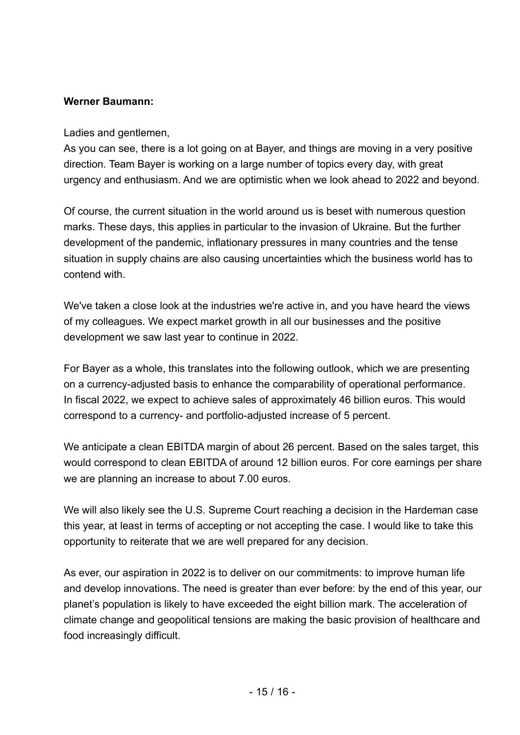#### **Werner Baumann:**

#### Ladies and gentlemen,

As you can see, there is a lot going on at Bayer, and things are moving in a very positive direction. Team Bayer is working on a large number of topics every day, with great urgency and enthusiasm. And we are optimistic when we look ahead to 2022 and beyond.

Of course, the current situation in the world around us is beset with numerous question marks. These days, this applies in particular to the invasion of Ukraine. But the further development of the pandemic, inflationary pressures in many countries and the tense situation in supply chains are also causing uncertainties which the business world has to contend with.

We've taken a close look at the industries we're active in, and you have heard the views of my colleagues. We expect market growth in all our businesses and the positive development we saw last year to continue in 2022.

For Bayer as a whole, this translates into the following outlook, which we are presenting on a currency-adjusted basis to enhance the comparability of operational performance. In fiscal 2022, we expect to achieve sales of approximately 46 billion euros. This would correspond to a currency- and portfolio-adjusted increase of 5 percent.

We anticipate a clean EBITDA margin of about 26 percent. Based on the sales target, this would correspond to clean EBITDA of around 12 billion euros. For core earnings per share we are planning an increase to about 7.00 euros.

We will also likely see the U.S. Supreme Court reaching a decision in the Hardeman case this year, at least in terms of accepting or not accepting the case. I would like to take this opportunity to reiterate that we are well prepared for any decision.

As ever, our aspiration in 2022 is to deliver on our commitments: to improve human life and develop innovations. The need is greater than ever before: by the end of this year, our planet's population is likely to have exceeded the eight billion mark. The acceleration of climate change and geopolitical tensions are making the basic provision of healthcare and food increasingly difficult.